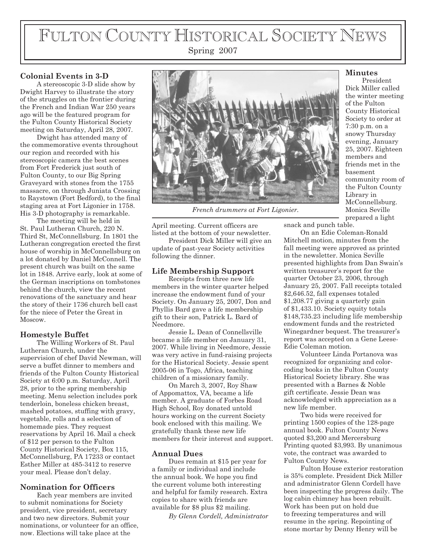# FULTON COUNTY HISTORICAL SOCIETY NEWS

# Spring 2007

#### **Colonial Events in 3-D**

A stereoscopic 3-D slide show by Dwight Harvey to illustrate the story of the struggles on the frontier during the French and Indian War 250 years ago will be the featured program for the Fulton County Historical Society meeting on Saturday, April 28, 2007.

Dwight has attended many of the commemorative events throughout our region and recorded with his stereoscopic camera the best scenes from Fort Frederick just south of Fulton County, to our Big Spring Graveyard with stones from the 1755 massacre, on through Juniata Crossing to Raystown (Fort Bedford), to the final staging area at Fort Ligonier in 1758. His 3-D photography is remarkable.

The meeting will be held in St. Paul Lutheran Church, 220 N. Third St, McConnellsburg. In 1801 the Lutheran congregation erected the first house of worship in McConnellsburg on a lot donated by Daniel McConnell. The present church was built on the same lot in 1848. Arrive early, look at some of the German inscriptions on tombstones behind the church, view the recent renovations of the sanctuary and hear the story of their 1736 church bell cast for the niece of Peter the Great in Moscow.

### **Homestyle Buffet**

The Willing Workers of St. Paul Lutheran Church, under the supervision of chef David Newman, will serve a buffet dinner to members and friends of the Fulton County Historical Society at 6:00 p.m. Saturday, April 28, prior to the spring membership meeting. Menu selection includes pork tenderloin, boneless chicken breast, mashed potatoes, stuffing with gravy, vegetable, rolls and a selection of homemade pies. They request reservations by April 16. Mail a check of \$12 per person to the Fulton County Historical Society, Box 115, McConnellsburg, PA 17233 or contact Esther Miller at 485-3412 to reserve your meal. Please don't delay.

#### **Nomination for Officers**

Each year members are invited to submit nominations for Society president, vice president, secretary and two new directors. Submit your nominations, or volunteer for an office, now. Elections will take place at the



*French drummers at Fort Ligonier.*

April meeting. Current officers are listed at the bottom of your newsletter.

President Dick Miller will give an update of past-year Society activities following the dinner.

## **Life Membership Support**

Receipts from three new life members in the winter quarter helped increase the endowment fund of your Society. On January 25, 2007, Don and Phyllis Bard gave a life membership gift to their son, Patrick L. Bard of Needmore.

Jessie L. Dean of Connellsville became a life member on January 31, 2007. While living in Needmore, Jessie was very active in fund-raising projects for the Historical Society. Jessie spent 2005-06 in Togo, Africa, teaching children of a missionary family.

On March 3, 2007, Roy Shaw of Appomattox, VA, became a life member. A graduate of Forbes Road High School, Roy donated untold hours working on the current Society book enclosed with this mailing. We gratefully thank these new life members for their interest and support.

#### **Annual Dues**

Dues remain at \$15 per year for a family or individual and include the annual book. We hope you find the current volume both interesting and helpful for family research. Extra copies to share with friends are available for \$8 plus \$2 mailing.

*By Glenn Cordell, Administrator*

#### **Minutes**

President Dick Miller called the winter meeting of the Fulton County Historical Society to order at 7:30 p.m. on a snowy Thursday evening, January 25, 2007. Eighteen members and friends met in the basement community room of the Fulton County Library in McConnellsburg. Monica Seville prepared a light

snack and punch table.

On an Edie Coleman-Ronald Mitchell motion, minutes from the fall meeting were approved as printed in the newsletter. Monica Seville presented highlights from Dan Swain's written treasurer's report for the quarter October 23, 2006, through January 25, 2007. Fall receipts totaled \$2,646.52, fall expenses totaled \$1,208.77 giving a quarterly gain of \$1,433.10. Society equity totals \$148,735.23 including life membership endowment funds and the restricted Winegardner bequest. The treasurer's report was accepted on a Gene Leese-Edie Coleman motion.

Volunteer Linda Portanova was recognized for organizing and colorcoding books in the Fulton County Historical Society library. She was presented with a Barnes & Noble gift certificate. Jessie Dean was acknowledged with appreciation as a new life member.

Two bids were received for printing 1500 copies of the 128-page annual book. Fulton County News quoted \$3,200 and Mercersburg Printing quoted \$3,993. By unanimous vote, the contract was awarded to Fulton County News.

Fulton House exterior restoration is 35% complete. President Dick Miller and administrator Glenn Cordell have been inspecting the progress daily. The log cabin chimney has been rebuilt. Work has been put on hold due to freezing temperatures and will resume in the spring. Repointing of stone mortar by Denny Henry will be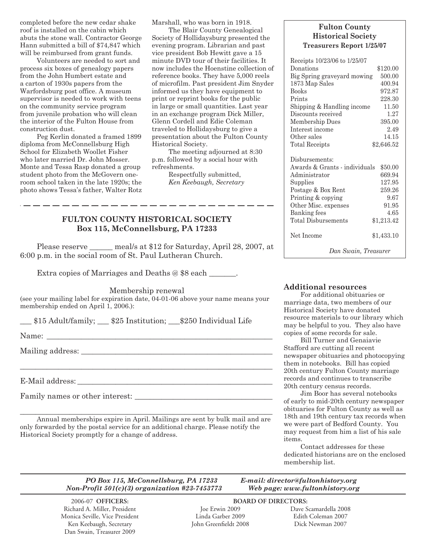completed before the new cedar shake roof is installed on the cabin which abuts the stone wall. Contractor George Hann submitted a bill of \$74,847 which will be reimbursed from grant funds.

Volunteers are needed to sort and process six boxes of genealogy papers from the John Humbert estate and a carton of 1930s papers from the Warfordsburg post office. A museum supervisor is needed to work with teens on the community service program from juvenile probation who will clean the interior of the Fulton House from construction dust.

Peg Kerlin donated a framed 1899 diploma from McConnellsburg High School for Elizabeth Woollet Fisher who later married Dr. John Mosser. Monte and Tessa Rasp donated a group student photo from the McGovern oneroom school taken in the late 1920s; the photo shows Tessa's father, Walter Rotz Marshall, who was born in 1918.

The Blair County Genealogical Society of Hollidaysburg presented the evening program. Librarian and past vice president Bob Hewitt gave a 15 minute DVD tour of their facilities. It now includes the Hoenstine collection of reference books. They have 5,000 reels of microfilm. Past president Jim Snyder informed us they have equipment to print or reprint books for the public in large or small quantities. Last year in an exchange program Dick Miller, Glenn Cordell and Edie Coleman traveled to Hollidaysburg to give a presentation about the Fulton County Historical Society.

The meeting adjourned at 8:30 p.m. followed by a social hour with refreshments.

Respectfully submitted, *Ken Keebaugh, Secretary*

#### **FULTON COUNTY HISTORICAL SOCIETY Box 115, McConnellsburg, PA 17233**

\_\_\_\_\_\_\_\_\_\_\_\_\_\_\_\_\_\_\_\_\_\_

Please reserve \_\_\_\_\_\_ meal/s at \$12 for Saturday, April 28, 2007, at 6:00 p.m. in the social room of St. Paul Lutheran Church.

Extra copies of Marriages and Deaths @ \$8 each  $\qquad \qquad .$ 

Membership renewal

(see your mailing label for expiration date, 04-01-06 above your name means your membership ended on April 1, 2006.):

\_\_\_ \$15 Adult/family; \_\_\_ \$25 Institution; \_\_\_\$250 Individual Life

Name: \_\_\_\_\_\_\_\_\_\_\_\_\_\_\_\_\_\_\_\_\_\_\_\_\_\_\_\_\_\_\_\_\_\_\_\_\_\_\_\_\_\_\_\_\_\_\_\_\_\_\_\_\_\_\_\_\_\_\_

Mailing address:

E-Mail address: \_\_\_\_\_\_\_\_\_\_\_\_\_\_\_\_\_\_\_\_\_\_\_\_\_\_\_\_\_\_\_\_\_\_\_\_\_\_\_\_\_\_\_\_\_\_\_\_\_\_\_

Family names or other interest: \_\_\_\_\_\_\_\_\_\_\_\_\_\_\_\_\_\_\_\_\_\_\_\_\_\_\_\_\_\_\_\_\_\_\_\_

Annual memberships expire in April. Mailings are sent by bulk mail and are only forwarded by the postal service for an additional charge. Please notify the Historical Society promptly for a change of address.

\_\_\_\_\_\_\_\_\_\_\_\_\_\_\_\_\_\_\_\_\_\_\_\_\_\_\_\_\_\_\_\_\_\_\_\_\_\_\_\_\_\_\_\_\_\_\_\_\_\_\_\_\_\_\_\_\_\_\_\_\_\_\_\_\_\_

\_\_\_\_\_\_\_\_\_\_\_\_\_\_\_\_\_\_\_\_\_\_\_\_\_\_\_\_\_\_\_\_\_\_\_\_\_\_\_\_\_\_\_\_\_\_\_\_\_\_\_\_\_\_\_\_\_\_\_\_\_\_\_\_\_\_

#### **Fulton County Historical Society Treasurers Report 1/25/07**

| Receipts 10/23/06 to 1/25/07                                                                                                                                     |                                                                |  |  |  |  |  |
|------------------------------------------------------------------------------------------------------------------------------------------------------------------|----------------------------------------------------------------|--|--|--|--|--|
| Donations                                                                                                                                                        | \$120.00                                                       |  |  |  |  |  |
| Big Spring graveyard mowing                                                                                                                                      | 500.00                                                         |  |  |  |  |  |
| 1873 Map Sales                                                                                                                                                   | 400.94                                                         |  |  |  |  |  |
| <b>Books</b>                                                                                                                                                     | 972.87                                                         |  |  |  |  |  |
| Prints                                                                                                                                                           | 228.30                                                         |  |  |  |  |  |
| Shipping & Handling income                                                                                                                                       | 11.50                                                          |  |  |  |  |  |
| Discounts received                                                                                                                                               | 1.27                                                           |  |  |  |  |  |
| Membership Dues                                                                                                                                                  | 395.00                                                         |  |  |  |  |  |
| Interest income                                                                                                                                                  | 2.49                                                           |  |  |  |  |  |
| Other sales                                                                                                                                                      | 14.15                                                          |  |  |  |  |  |
| Total Receipts                                                                                                                                                   | \$2,646.52                                                     |  |  |  |  |  |
| Disbursements:<br>Awards & Grants - individuals<br>Administrator<br>Supplies<br>Postage & Box Rent<br>Printing & copying<br>Other Misc. expenses<br>Banking fees | \$50.00<br>669.94<br>127.95<br>259.26<br>9.67<br>91.95<br>4.65 |  |  |  |  |  |
| Total Disbursements                                                                                                                                              | \$1,213.42                                                     |  |  |  |  |  |
| Net Income                                                                                                                                                       | \$1,433.10                                                     |  |  |  |  |  |
| Dan Swain, Treasurer                                                                                                                                             |                                                                |  |  |  |  |  |

#### **Additional resources**

For additional obituaries or marriage data, two members of our Historical Society have donated resource materials to our library which may be helpful to you. They also have copies of some records for sale.

Bill Turner and Genaiavie Stafford are cutting all recent newspaper obituaries and photocopying them in notebooks. Bill has copied 20th century Fulton County marriage records and continues to transcribe 20th century census records.

Jim Boor has several notebooks of early to mid-20th century newspaper obituaries for Fulton County as well as 18th and 19th century tax records when we were part of Bedford County. You may request from him a list of his sale items.

Contact addresses for these dedicated historians are on the enclosed membership list.

*PO Box 115, McConnellsburg, PA 17233 E-mail: director@fultonhistory.org Non-Profit 501(c)(3) organization #23-7453773 Web page: www.fultonhistory.org*

 2006-07 **OFFICERS: BOARD OF DIRECTORS:** Richard A. Miller, President Joe Erwin 2009 Dave Scamardella 2008 Monica Seville, Vice President Linda Garber 2009 Edith Coleman 2007 Ken Keebaugh, Secretary Dan Swain, Treasurer 2009